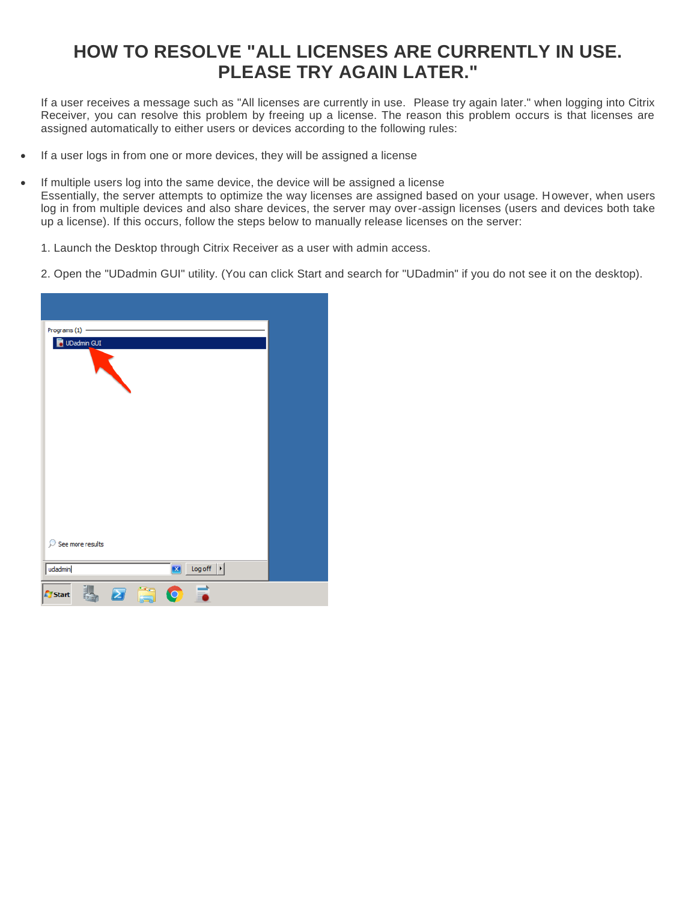## **HOW TO RESOLVE "ALL LICENSES ARE CURRENTLY IN USE. PLEASE TRY AGAIN LATER."**

If a user receives a message such as "All licenses are currently in use. Please try again later." when logging into Citrix Receiver, you can resolve this problem by freeing up a license. The reason this problem occurs is that licenses are assigned automatically to either users or devices according to the following rules:

- If a user logs in from one or more devices, they will be assigned a license
- If multiple users log into the same device, the device will be assigned a license Essentially, the server attempts to optimize the way licenses are assigned based on your usage. However, when users log in from multiple devices and also share devices, the server may over-assign licenses (users and devices both take up a license). If this occurs, follow the steps below to manually release licenses on the server:
	- 1. Launch the Desktop through Citrix Receiver as a user with admin access.
	- 2. Open the "UDadmin GUI" utility. (You can click Start and search for "UDadmin" if you do not see it on the desktop).

| Programs $(1)$ -<br>UDadmin GUI                  |  |
|--------------------------------------------------|--|
|                                                  |  |
|                                                  |  |
|                                                  |  |
|                                                  |  |
|                                                  |  |
|                                                  |  |
|                                                  |  |
| See more results                                 |  |
| Log off $\  \cdot \ $<br>udadmin<br>$\mathbf{x}$ |  |
| Ē<br><b>Signal</b><br><b>A</b> Start             |  |